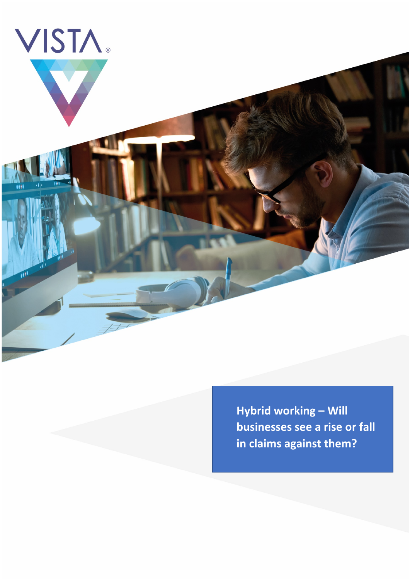

**Hybrid working – Will businesses see a rise or fall in claims against them?**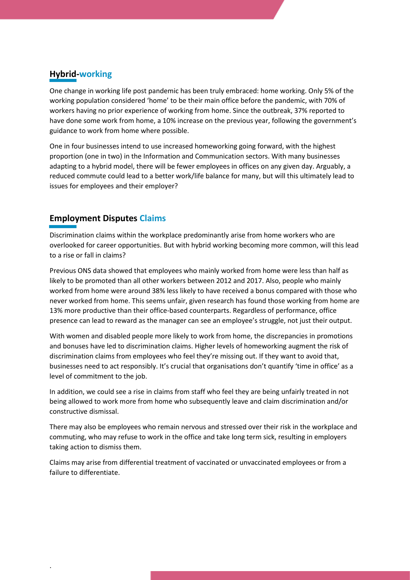# **Hybrid-working**

One change in working life post pandemic has been truly embraced: home working. Only 5% of the working population considered 'home' to be their main office before the pandemic, with 70% of workers having no prior experience of working from home. Since the outbreak, 37% reported to have done some work from home, a 10% increase on the previous year, following the government's guidance to work from home where possible.

One in four businesses intend to use increased homeworking going forward, with the highest proportion (one in two) in the Information and Communication sectors. With many businesses adapting to a hybrid model, there will be fewer employees in offices on any given day. Arguably, a reduced commute could lead to a better work/life balance for many, but will this ultimately lead to issues for employees and their employer?

## **Employment Disputes Claims**

.

Discrimination claims within the workplace predominantly arise from home workers who are overlooked for career opportunities. But with hybrid working becoming more common, will this lead to a rise or fall in claims?

Previous ONS data showed that employees who mainly worked from home were less than half as likely to be promoted than all other workers between 2012 and 2017. Also, people who mainly worked from home were around 38% less likely to have received a bonus compared with those who never worked from home. This seems unfair, given research has found those working from home are 13% more productive than their office-based counterparts. Regardless of performance, office presence can lead to reward as the manager can see an employee's struggle, not just their output.

With women and disabled people more likely to work from home, the discrepancies in promotions and bonuses have led to discrimination claims. Higher levels of homeworking augment the risk of discrimination claims from employees who feel they're missing out. If they want to avoid that, businesses need to act responsibly. It's crucial that organisations don't quantify 'time in office' as a level of commitment to the job.

In addition, we could see a rise in claims from staff who feel they are being unfairly treated in not being allowed to work more from home who subsequently leave and claim discrimination and/or constructive dismissal.

There may also be employees who remain nervous and stressed over their risk in the workplace and commuting, who may refuse to work in the office and take long term sick, resulting in employers taking action to dismiss them.

Claims may arise from differential treatment of vaccinated or unvaccinated employees or from a failure to differentiate.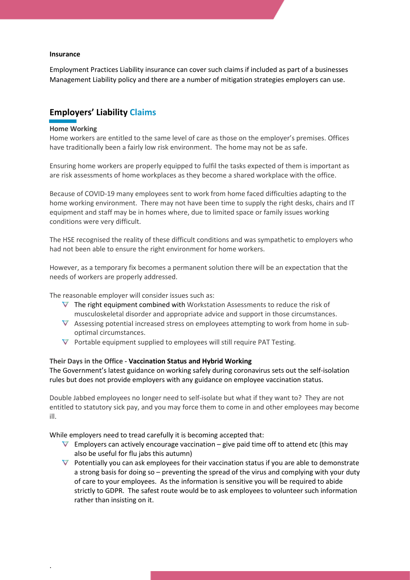#### **Insurance**

Employment Practices Liability insurance can cover such claims if included as part of a businesses Management Liability policy and there are a number of mitigation strategies employers can use.

### **Employers' Liability Claims**

#### **Home Working**

.

Home workers are entitled to the same level of care as those on the employer's premises. Offices have traditionally been a fairly low risk environment. The home may not be as safe.

Ensuring home workers are properly equipped to fulfil the tasks expected of them is important as are risk assessments of home workplaces as they become a shared workplace with the office.

Because of COVID-19 many employees sent to work from home faced difficulties adapting to the home working environment. There may not have been time to supply the right desks, chairs and IT equipment and staff may be in homes where, due to limited space or family issues working conditions were very difficult.

The HSE recognised the reality of these difficult conditions and was sympathetic to employers who had not been able to ensure the right environment for home workers.

However, as a temporary fix becomes a permanent solution there will be an expectation that the needs of workers are properly addressed.

The reasonable employer will consider issues such as:

- $\nabla$  The right equipment combined with Workstation Assessments to reduce the risk of musculoskeletal disorder and appropriate advice and support in those circumstances.
- $\nabla$  Assessing potential increased stress on employees attempting to work from home in suboptimal circumstances.
- $\nabla$  Portable equipment supplied to employees will still require PAT Testing.

**Their Days in the Office - Vaccination Status and Hybrid Working** The Government's latest guidance on working safely during coronavirus sets out the self-isolation rules but does not provide employers with any guidance on employee vaccination status.

Double Jabbed employees no longer need to self-isolate but what if they want to? They are not entitled to statutory sick pay, and you may force them to come in and other employees may become ill.

While employers need to tread carefully it is becoming accepted that:

- $\nabla$  Employers can actively encourage vaccination give paid time off to attend etc (this may also be useful for flu jabs this autumn)
- $\nabla$  Potentially you can ask employees for their vaccination status if you are able to demonstrate a strong basis for doing so – preventing the spread of the virus and complying with your duty of care to your employees. As the information is sensitive you will be required to abide strictly to GDPR. The safest route would be to ask employees to volunteer such information rather than insisting on it.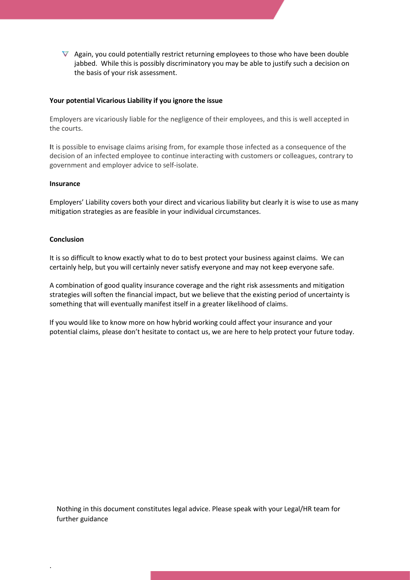$\nabla$  Again, you could potentially restrict returning employees to those who have been double jabbed. While this is possibly discriminatory you may be able to justify such a decision on the basis of your risk assessment.

### **Your potential Vicarious Liability if you ignore the issue**

Employers are vicariously liable for the negligence of their employees, and this is well accepted in the courts.

**I**t is possible to envisage claims arising from, for example those infected as a consequence of the decision of an infected employee to continue interacting with customers or colleagues, contrary to government and employer advice to self-isolate.

#### **Insurance**

Employers' Liability covers both your direct and vicarious liability but clearly it is wise to use as many mitigation strategies as are feasible in your individual circumstances.

#### **Conclusion**

.

It is so difficult to know exactly what to do to best protect your business against claims. We can certainly help, but you will certainly never satisfy everyone and may not keep everyone safe.

A combination of good quality insurance coverage and the right risk assessments and mitigation strategies will soften the financial impact, but we believe that the existing period of uncertainty is something that will eventually manifest itself in a greater likelihood of claims.

If you would like to know more on how hybrid working could affect your insurance and your potential claims, please don't hesitate to contact us, we are here to help protect your future today.

Nothing in this document constitutes legal advice. Please speak with your Legal/HR team for further guidance